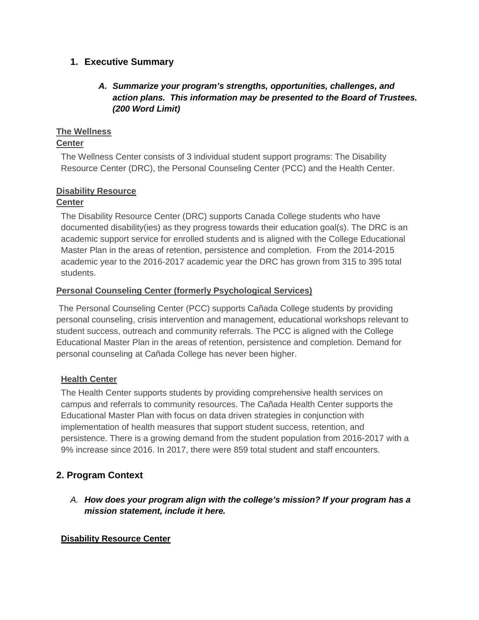# **1. Executive Summary**

# *A. Summarize your program's strengths, opportunities, challenges, and action plans. This information may be presented to the Board of Trustees. (200 Word Limit)*

### **The Wellness**

# **Center**

The Wellness Center consists of 3 individual student support programs: The Disability Resource Center (DRC), the Personal Counseling Center (PCC) and the Health Center.

# **Disability Resource**

## **Center**

The Disability Resource Center (DRC) supports Canada College students who have documented disability(ies) as they progress towards their education goal(s). The DRC is an academic support service for enrolled students and is aligned with the College Educational Master Plan in the areas of retention, persistence and completion. From the 2014-2015 academic year to the 2016-2017 academic year the DRC has grown from 315 to 395 total students.

## **Personal Counseling Center (formerly Psychological Services)**

The Personal Counseling Center (PCC) supports Cañada College students by providing personal counseling, crisis intervention and management, educational workshops relevant to student success, outreach and community referrals. The PCC is aligned with the College Educational Master Plan in the areas of retention, persistence and completion. Demand for personal counseling at Cañada College has never been higher.

### **Health Center**

The Health Center supports students by providing comprehensive health services on campus and referrals to community resources. The Cañada Health Center supports the Educational Master Plan with focus on data driven strategies in conjunction with implementation of health measures that support student success, retention, and persistence. There is a growing demand from the student population from 2016-2017 with a 9% increase since 2016. In 2017, there were 859 total student and staff encounters.

# **2. Program Context**

*A. How does your program align with the college's mission? If your program has a mission statement, include it here.*

# **Disability Resource Center**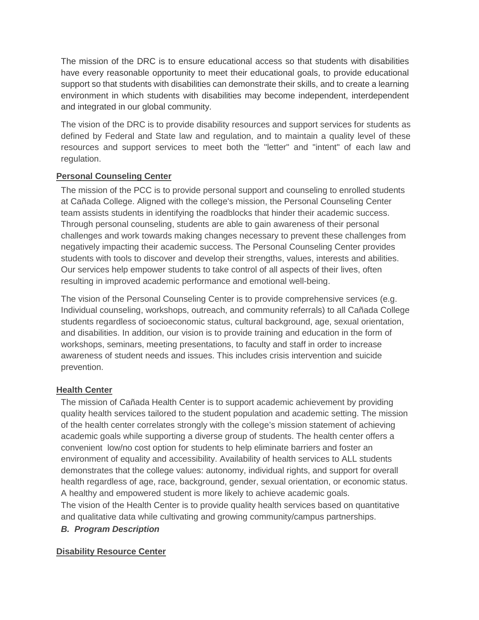The mission of the DRC is to ensure educational access so that students with disabilities have every reasonable opportunity to meet their educational goals, to provide educational support so that students with disabilities can demonstrate their skills, and to create a learning environment in which students with disabilities may become independent, interdependent and integrated in our global community.

The vision of the DRC is to provide disability resources and support services for students as defined by Federal and State law and regulation, and to maintain a quality level of these resources and support services to meet both the "letter" and "intent" of each law and regulation.

## **Personal Counseling Center**

The mission of the PCC is to provide personal support and counseling to enrolled students at Cañada College. Aligned with the college's mission, the Personal Counseling Center team assists students in identifying the roadblocks that hinder their academic success. Through personal counseling, students are able to gain awareness of their personal challenges and work towards making changes necessary to prevent these challenges from negatively impacting their academic success. The Personal Counseling Center provides students with tools to discover and develop their strengths, values, interests and abilities. Our services help empower students to take control of all aspects of their lives, often resulting in improved academic performance and emotional well-being.

The vision of the Personal Counseling Center is to provide comprehensive services (e.g. Individual counseling, workshops, outreach, and community referrals) to all Cañada College students regardless of socioeconomic status, cultural background, age, sexual orientation, and disabilities. In addition, our vision is to provide training and education in the form of workshops, seminars, meeting presentations, to faculty and staff in order to increase awareness of student needs and issues. This includes crisis intervention and suicide prevention.

### **Health Center**

The mission of Cañada Health Center is to support academic achievement by providing quality health services tailored to the student population and academic setting. The mission of the health center correlates strongly with the college's mission statement of achieving academic goals while supporting a diverse group of students. The health center offers a convenient low/no cost option for students to help eliminate barriers and foster an environment of equality and accessibility. Availability of health services to ALL students demonstrates that the college values: autonomy, individual rights, and support for overall health regardless of age, race, background, gender, sexual orientation, or economic status. A healthy and empowered student is more likely to achieve academic goals.

The vision of the Health Center is to provide quality health services based on quantitative and qualitative data while cultivating and growing community/campus partnerships.

*B. Program Description*

### **Disability Resource Center**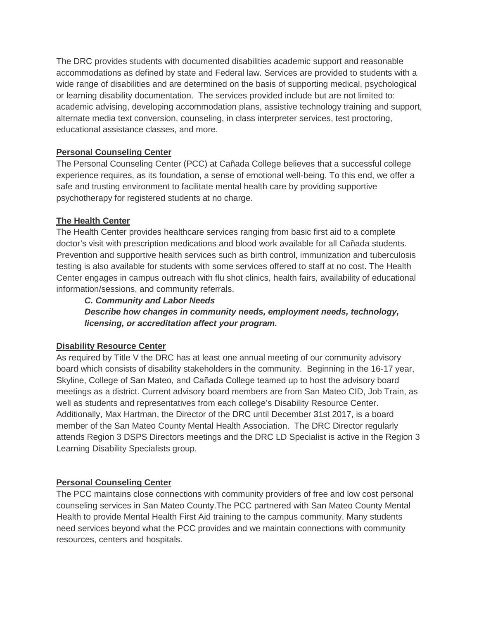The DRC provides students with documented disabilities academic support and reasonable accommodations as defined by state and Federal law. Services are provided to students with a wide range of disabilities and are determined on the basis of supporting medical, psychological or learning disability documentation. The services provided include but are not limited to: academic advising, developing accommodation plans, assistive technology training and support, alternate media text conversion, counseling, in class interpreter services, test proctoring, educational assistance classes, and more.

### **Personal Counseling Center**

The Personal Counseling Center (PCC) at Cañada College believes that a successful college experience requires, as its foundation, a sense of emotional well-being. To this end, we offer a safe and trusting environment to facilitate mental health care by providing supportive psychotherapy for registered students at no charge.

## **The Health Center**

The Health Center provides healthcare services ranging from basic first aid to a complete doctor's visit with prescription medications and blood work available for all Cañada students. Prevention and supportive health services such as birth control, immunization and tuberculosis testing is also available for students with some services offered to staff at no cost. The Health Center engages in campus outreach with flu shot clinics, health fairs, availability of educational information/sessions, and community referrals.

### *C. Community and Labor Needs*

*Describe how changes in community needs, employment needs, technology, licensing, or accreditation affect your program.*

### **Disability Resource Center**

As required by Title V the DRC has at least one annual meeting of our community advisory board which consists of disability stakeholders in the community. Beginning in the 16-17 year, Skyline, College of San Mateo, and Cañada College teamed up to host the advisory board meetings as a district. Current advisory board members are from San Mateo CID, Job Train, as well as students and representatives from each college's Disability Resource Center. Additionally, Max Hartman, the Director of the DRC until December 31st 2017, is a board member of the San Mateo County Mental Health Association. The DRC Director regularly attends Region 3 DSPS Directors meetings and the DRC LD Specialist is active in the Region 3 Learning Disability Specialists group.

### **Personal Counseling Center**

The PCC maintains close connections with community providers of free and low cost personal counseling services in San Mateo County.The PCC partnered with San Mateo County Mental Health to provide Mental Health First Aid training to the campus community. Many students need services beyond what the PCC provides and we maintain connections with community resources, centers and hospitals.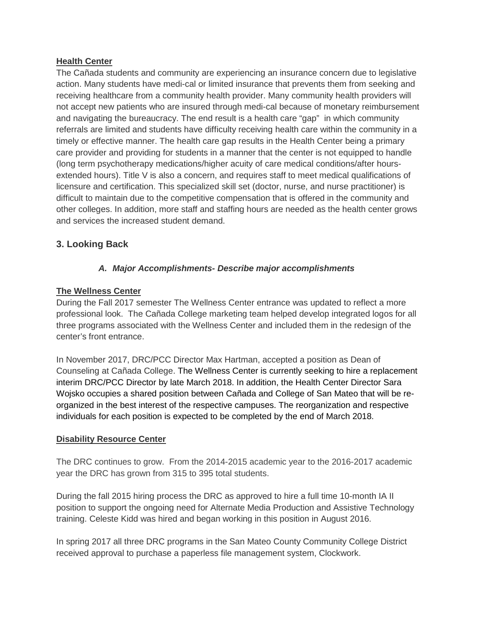#### **Health Center**

The Cañada students and community are experiencing an insurance concern due to legislative action. Many students have medi-cal or limited insurance that prevents them from seeking and receiving healthcare from a community health provider. Many community health providers will not accept new patients who are insured through medi-cal because of monetary reimbursement and navigating the bureaucracy. The end result is a health care "gap" in which community referrals are limited and students have difficulty receiving health care within the community in a timely or effective manner. The health care gap results in the Health Center being a primary care provider and providing for students in a manner that the center is not equipped to handle (long term psychotherapy medications/higher acuity of care medical conditions/after hoursextended hours). Title  $V$  is also a concern, and requires staff to meet medical qualifications of licensure and certification. This specialized skill set (doctor, nurse, and nurse practitioner) is difficult to maintain due to the competitive compensation that is offered in the community and other colleges. In addition, more staff and staffing hours are needed as the health center grows and services the increased student demand.

## **3. Looking Back**

## *A. Major Accomplishments- Describe major accomplishments*

### **The Wellness Center**

During the Fall 2017 semester The Wellness Center entrance was updated to reflect a more professional look. The Cañada College marketing team helped develop integrated logos for all three programs associated with the Wellness Center and included them in the redesign of the center's front entrance.

In November 2017, DRC/PCC Director Max Hartman, accepted a position as Dean of Counseling at Cañada College. The Wellness Center is currently seeking to hire a replacement interim DRC/PCC Director by late March 2018. In addition, the Health Center Director Sara Wojsko occupies a shared position between Cañada and College of San Mateo that will be reorganized in the best interest of the respective campuses. The reorganization and respective individuals for each position is expected to be completed by the end of March 2018.

### **Disability Resource Center**

The DRC continues to grow. From the 2014-2015 academic year to the 2016-2017 academic year the DRC has grown from 315 to 395 total students.

During the fall 2015 hiring process the DRC as approved to hire a full time 10-month IA II position to support the ongoing need for Alternate Media Production and Assistive Technology training. Celeste Kidd was hired and began working in this position in August 2016.

In spring 2017 all three DRC programs in the San Mateo County Community College District received approval to purchase a paperless file management system, Clockwork.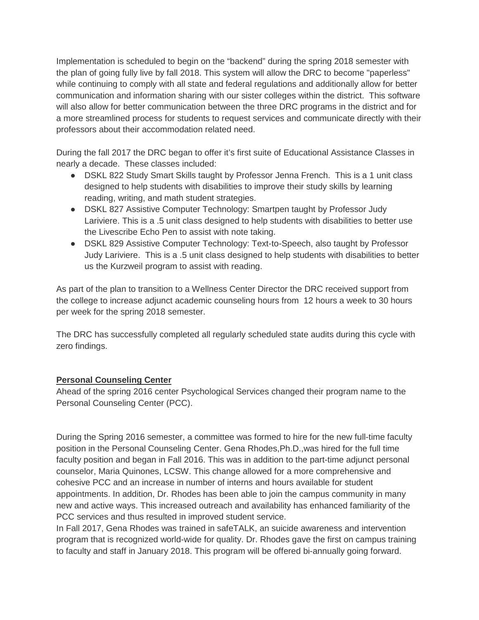Implementation is scheduled to begin on the "backend" during the spring 2018 semester with the plan of going fully live by fall 2018. This system will allow the DRC to become "paperless" while continuing to comply with all state and federal regulations and additionally allow for better communication and information sharing with our sister colleges within the district. This software will also allow for better communication between the three DRC programs in the district and for a more streamlined process for students to request services and communicate directly with their professors about their accommodation related need.

During the fall 2017 the DRC began to offer it's first suite of Educational Assistance Classes in nearly a decade. These classes included:

- DSKL 822 Study Smart Skills taught by Professor Jenna French. This is a 1 unit class designed to help students with disabilities to improve their study skills by learning reading, writing, and math student strategies.
- DSKL 827 Assistive Computer Technology: Smartpen taught by Professor Judy Lariviere. This is a .5 unit class designed to help students with disabilities to better use the Livescribe Echo Pen to assist with note taking.
- DSKL 829 Assistive Computer Technology: Text-to-Speech, also taught by Professor Judy Lariviere. This is a .5 unit class designed to help students with disabilities to better us the Kurzweil program to assist with reading.

As part of the plan to transition to a Wellness Center Director the DRC received support from the college to increase adjunct academic counseling hours from 12 hours a week to 30 hours per week for the spring 2018 semester.

The DRC has successfully completed all regularly scheduled state audits during this cycle with zero findings.

### **Personal Counseling Center**

Ahead of the spring 2016 center Psychological Services changed their program name to the Personal Counseling Center (PCC).

During the Spring 2016 semester, a committee was formed to hire for the new full-time faculty position in the Personal Counseling Center. Gena Rhodes,Ph.D.,was hired for the full time faculty position and began in Fall 2016. This was in addition to the part-time adjunct personal counselor, Maria Quinones, LCSW. This change allowed for a more comprehensive and cohesive PCC and an increase in number of interns and hours available for student appointments. In addition, Dr. Rhodes has been able to join the campus community in many new and active ways. This increased outreach and availability has enhanced familiarity of the PCC services and thus resulted in improved student service.

In Fall 2017, Gena Rhodes was trained in safeTALK, an suicide awareness and intervention program that is recognized world-wide for quality. Dr. Rhodes gave the first on campus training to faculty and staff in January 2018. This program will be offered bi-annually going forward.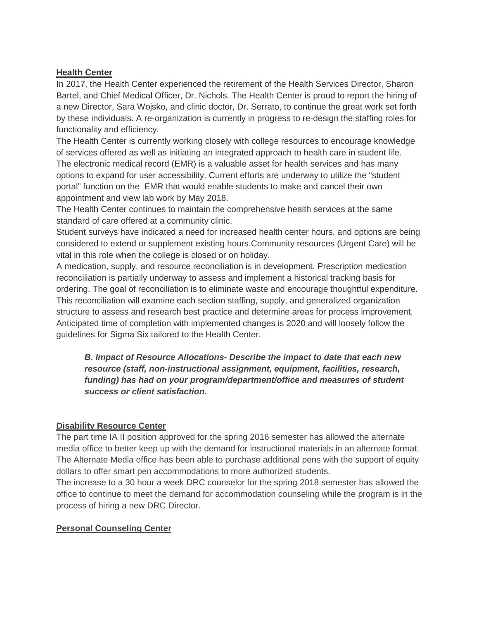#### **Health Center**

In 2017, the Health Center experienced the retirement of the Health Services Director, Sharon Bartel, and Chief Medical Officer, Dr. Nichols. The Health Center is proud to report the hiring of a new Director, Sara Wojsko, and clinic doctor, Dr. Serrato, to continue the great work set forth by these individuals. A re-organization is currently in progress to re-design the staffing roles for functionality and efficiency.

The Health Center is currently working closely with college resources to encourage knowledge of services offered as well as initiating an integrated approach to health care in student life. The electronic medical record (EMR) is a valuable asset for health services and has many options to expand for user accessibility. Current efforts are underway to utilize the "student portal" function on the EMR that would enable students to make and cancel their own appointment and view lab work by May 2018.

The Health Center continues to maintain the comprehensive health services at the same standard of care offered at a community clinic.

Student surveys have indicated a need for increased health center hours, and options are being considered to extend or supplement existing hours.Community resources (Urgent Care) will be vital in this role when the college is closed or on holiday.

A medication, supply, and resource reconciliation is in development. Prescription medication reconciliation is partially underway to assess and implement a historical tracking basis for ordering. The goal of reconciliation is to eliminate waste and encourage thoughtful expenditure. This reconciliation will examine each section staffing, supply, and generalized organization structure to assess and research best practice and determine areas for process improvement. Anticipated time of completion with implemented changes is 2020 and will loosely follow the guidelines for Sigma Six tailored to the Health Center.

*B. Impact of Resource Allocations- Describe the impact to date that each new resource (staff, non-instructional assignment, equipment, facilities, research, funding) has had on your program/department/office and measures of student success or client satisfaction.*

### **Disability Resource Center**

The part time IA II position approved for the spring 2016 semester has allowed the alternate media office to better keep up with the demand for instructional materials in an alternate format. The Alternate Media office has been able to purchase additional pens with the support of equity dollars to offer smart pen accommodations to more authorized students.

The increase to a 30 hour a week DRC counselor for the spring 2018 semester has allowed the office to continue to meet the demand for accommodation counseling while the program is in the process of hiring a new DRC Director.

#### **Personal Counseling Center**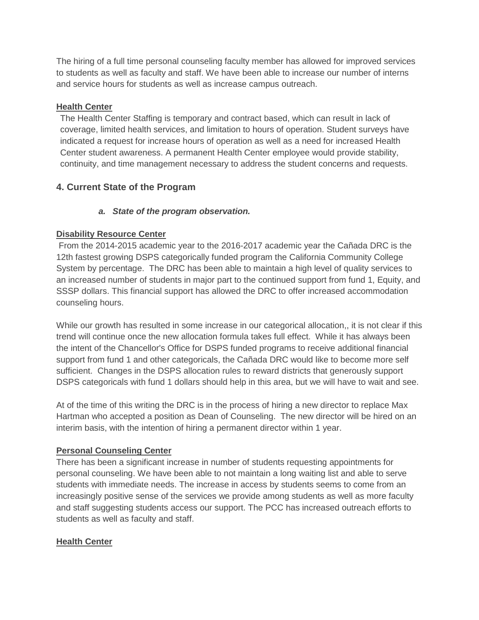The hiring of a full time personal counseling faculty member has allowed for improved services to students as well as faculty and staff. We have been able to increase our number of interns and service hours for students as well as increase campus outreach.

### **Health Center**

The Health Center Staffing is temporary and contract based, which can result in lack of coverage, limited health services, and limitation to hours of operation. Student surveys have indicated a request for increase hours of operation as well as a need for increased Health Center student awareness. A permanent Health Center employee would provide stability, continuity, and time management necessary to address the student concerns and requests.

# **4. Current State of the Program**

# *a. State of the program observation.*

# **Disability Resource Center**

From the 2014-2015 academic year to the 2016-2017 academic year the Cañada DRC is the 12th fastest growing DSPS categorically funded program the California Community College System by percentage. The DRC has been able to maintain a high level of quality services to an increased number of students in major part to the continued support from fund 1, Equity, and SSSP dollars. This financial support has allowed the DRC to offer increased accommodation counseling hours.

While our growth has resulted in some increase in our categorical allocation,, it is not clear if this trend will continue once the new allocation formula takes full effect. While it has always been the intent of the Chancellor's Office for DSPS funded programs to receive additional financial support from fund 1 and other categoricals, the Cañada DRC would like to become more self sufficient. Changes in the DSPS allocation rules to reward districts that generously support DSPS categoricals with fund 1 dollars should help in this area, but we will have to wait and see.

At of the time of this writing the DRC is in the process of hiring a new director to replace Max Hartman who accepted a position as Dean of Counseling. The new director will be hired on an interim basis, with the intention of hiring a permanent director within 1 year.

# **Personal Counseling Center**

There has been a significant increase in number of students requesting appointments for personal counseling. We have been able to not maintain a long waiting list and able to serve students with immediate needs. The increase in access by students seems to come from an increasingly positive sense of the services we provide among students as well as more faculty and staff suggesting students access our support. The PCC has increased outreach efforts to students as well as faculty and staff.

# **Health Center**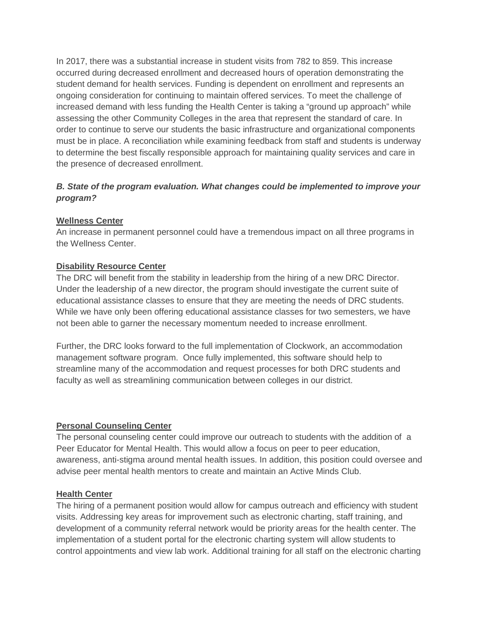In 2017, there was a substantial increase in student visits from 782 to 859. This increase occurred during decreased enrollment and decreased hours of operation demonstrating the student demand for health services. Funding is dependent on enrollment and represents an ongoing consideration for continuing to maintain offered services. To meet the challenge of increased demand with less funding the Health Center is taking a "ground up approach" while assessing the other Community Colleges in the area that represent the standard of care. In order to continue to serve our students the basic infrastructure and organizational components must be in place. A reconciliation while examining feedback from staff and students is underway to determine the best fiscally responsible approach for maintaining quality services and care in the presence of decreased enrollment.

### *B. State of the program evaluation. What changes could be implemented to improve your program?*

#### **Wellness Center**

An increase in permanent personnel could have a tremendous impact on all three programs in the Wellness Center.

#### **Disability Resource Center**

The DRC will benefit from the stability in leadership from the hiring of a new DRC Director. Under the leadership of a new director, the program should investigate the current suite of educational assistance classes to ensure that they are meeting the needs of DRC students. While we have only been offering educational assistance classes for two semesters, we have not been able to garner the necessary momentum needed to increase enrollment.

Further, the DRC looks forward to the full implementation of Clockwork, an accommodation management software program. Once fully implemented, this software should help to streamline many of the accommodation and request processes for both DRC students and faculty as well as streamlining communication between colleges in our district.

### **Personal Counseling Center**

The personal counseling center could improve our outreach to students with the addition of a Peer Educator for Mental Health. This would allow a focus on peer to peer education, awareness, anti-stigma around mental health issues. In addition, this position could oversee and advise peer mental health mentors to create and maintain an Active Minds Club.

#### **Health Center**

The hiring of a permanent position would allow for campus outreach and efficiency with student visits. Addressing key areas for improvement such as electronic charting, staff training, and development of a community referral network would be priority areas for the health center. The implementation of a student portal for the electronic charting system will allow students to control appointments and view lab work. Additional training for all staff on the electronic charting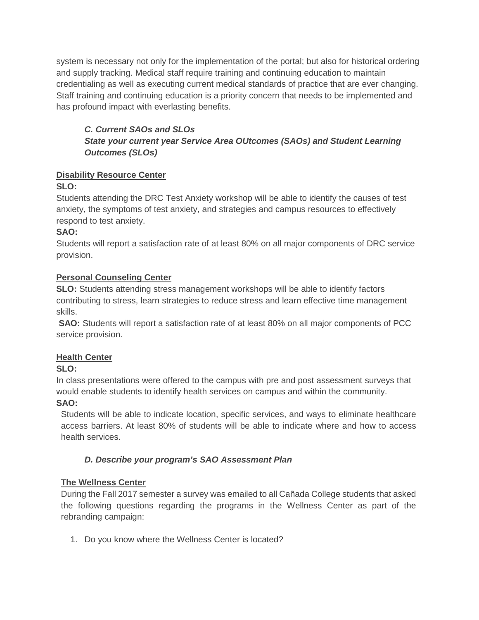system is necessary not only for the implementation of the portal; but also for historical ordering and supply tracking. Medical staff require training and continuing education to maintain credentialing as well as executing current medical standards of practice that are ever changing. Staff training and continuing education is a priority concern that needs to be implemented and has profound impact with everlasting benefits.

# *C. Current SAOs and SLOs State your current year Service Area OUtcomes (SAOs) and Student Learning Outcomes (SLOs)*

# **Disability Resource Center**

# **SLO:**

Students attending the DRC Test Anxiety workshop will be able to identify the causes of test anxiety, the symptoms of test anxiety, and strategies and campus resources to effectively respond to test anxiety.

# **SAO:**

Students will report a satisfaction rate of at least 80% on all major components of DRC service provision.

## **Personal Counseling Center**

**SLO:** Students attending stress management workshops will be able to identify factors contributing to stress, learn strategies to reduce stress and learn effective time management skills.

**SAO:** Students will report a satisfaction rate of at least 80% on all major components of PCC service provision.

# **Health Center**

# **SLO:**

In class presentations were offered to the campus with pre and post assessment surveys that would enable students to identify health services on campus and within the community. **SAO:**

Students will be able to indicate location, specific services, and ways to eliminate healthcare access barriers. At least 80% of students will be able to indicate where and how to access health services.

# *D. Describe your program's SAO Assessment Plan*

# **The Wellness Center**

During the Fall 2017 semester a survey was emailed to all Cañada College students that asked the following questions regarding the programs in the Wellness Center as part of the rebranding campaign:

1. Do you know where the Wellness Center is located?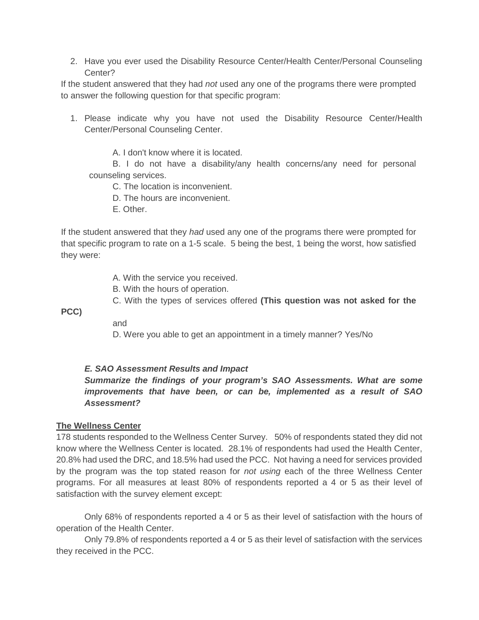2. Have you ever used the Disability Resource Center/Health Center/Personal Counseling Center?

If the student answered that they had *not* used any one of the programs there were prompted to answer the following question for that specific program:

1. Please indicate why you have not used the Disability Resource Center/Health Center/Personal Counseling Center.

A. I don't know where it is located.

B. I do not have a disability/any health concerns/any need for personal counseling services.

C. The location is inconvenient.

D. The hours are inconvenient.

E. Other.

If the student answered that they *had* used any one of the programs there were prompted for that specific program to rate on a 1-5 scale. 5 being the best, 1 being the worst, how satisfied they were:

A. With the service you received.

- B. With the hours of operation.
- C. With the types of services offered **(This question was not asked for the**

**PCC)**

and

D. Were you able to get an appointment in a timely manner? Yes/No

### *E. SAO Assessment Results and Impact*

### *Summarize the findings of your program's SAO Assessments. What are some improvements that have been, or can be, implemented as a result of SAO Assessment?*

#### **The Wellness Center**

178 students responded to the Wellness Center Survey. 50% of respondents stated they did not know where the Wellness Center is located. 28.1% of respondents had used the Health Center, 20.8% had used the DRC, and 18.5% had used the PCC. Not having a need for services provided by the program was the top stated reason for *not using* each of the three Wellness Center programs. For all measures at least 80% of respondents reported a 4 or 5 as their level of satisfaction with the survey element except:

Only 68% of respondents reported a 4 or 5 as their level of satisfaction with the hours of operation of the Health Center.

Only 79.8% of respondents reported a 4 or 5 as their level of satisfaction with the services they received in the PCC.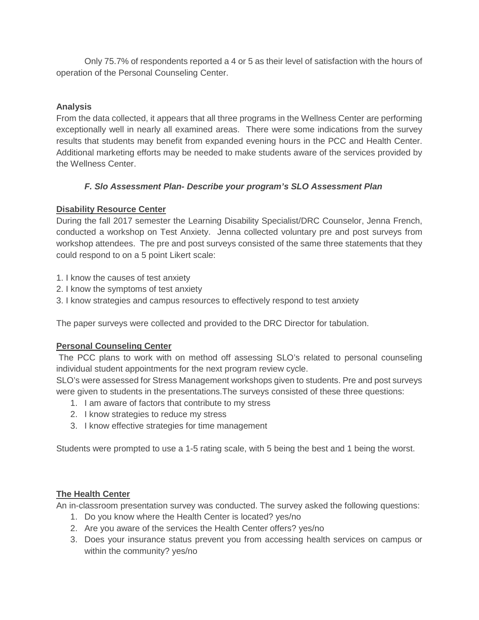Only 75.7% of respondents reported a 4 or 5 as their level of satisfaction with the hours of operation of the Personal Counseling Center.

# **Analysis**

From the data collected, it appears that all three programs in the Wellness Center are performing exceptionally well in nearly all examined areas. There were some indications from the survey results that students may benefit from expanded evening hours in the PCC and Health Center. Additional marketing efforts may be needed to make students aware of the services provided by the Wellness Center.

## *F. Slo Assessment Plan- Describe your program's SLO Assessment Plan*

## **Disability Resource Center**

During the fall 2017 semester the Learning Disability Specialist/DRC Counselor, Jenna French, conducted a workshop on Test Anxiety. Jenna collected voluntary pre and post surveys from workshop attendees. The pre and post surveys consisted of the same three statements that they could respond to on a 5 point Likert scale:

- 1. I know the causes of test anxiety
- 2. I know the symptoms of test anxiety
- 3. I know strategies and campus resources to effectively respond to test anxiety

The paper surveys were collected and provided to the DRC Director for tabulation.

# **Personal Counseling Center**

The PCC plans to work with on method off assessing SLO's related to personal counseling individual student appointments for the next program review cycle.

SLO's were assessed for Stress Management workshops given to students. Pre and post surveys were given to students in the presentations.The surveys consisted of these three questions:

- 1. I am aware of factors that contribute to my stress
- 2. I know strategies to reduce my stress
- 3. I know effective strategies for time management

Students were prompted to use a 1-5 rating scale, with 5 being the best and 1 being the worst.

# **The Health Center**

An in-classroom presentation survey was conducted. The survey asked the following questions:

- 1. Do you know where the Health Center is located? yes/no
- 2. Are you aware of the services the Health Center offers? yes/no
- 3. Does your insurance status prevent you from accessing health services on campus or within the community? yes/no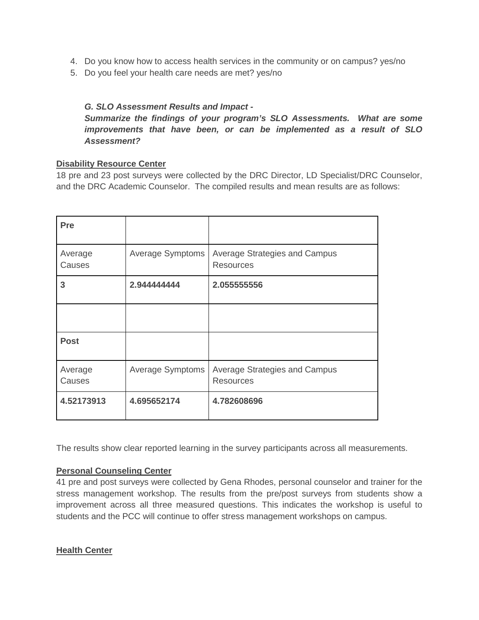- 4. Do you know how to access health services in the community or on campus? yes/no
- 5. Do you feel your health care needs are met? yes/no

### *G. SLO Assessment Results and Impact -*

*Summarize the findings of your program's SLO Assessments. What are some improvements that have been, or can be implemented as a result of SLO Assessment?*

#### **Disability Resource Center**

18 pre and 23 post surveys were collected by the DRC Director, LD Specialist/DRC Counselor, and the DRC Academic Counselor. The compiled results and mean results are as follows:

| Pre               |                  |                                                          |
|-------------------|------------------|----------------------------------------------------------|
| Average<br>Causes | Average Symptoms | Average Strategies and Campus<br><b>Resources</b>        |
| 3                 | 2.944444444      | 2.055555556                                              |
|                   |                  |                                                          |
| <b>Post</b>       |                  |                                                          |
| Average<br>Causes | Average Symptoms | <b>Average Strategies and Campus</b><br><b>Resources</b> |
| 4.52173913        | 4.695652174      | 4.782608696                                              |

The results show clear reported learning in the survey participants across all measurements.

### **Personal Counseling Center**

41 pre and post surveys were collected by Gena Rhodes, personal counselor and trainer for the stress management workshop. The results from the pre/post surveys from students show a improvement across all three measured questions. This indicates the workshop is useful to students and the PCC will continue to offer stress management workshops on campus.

**Health Center**